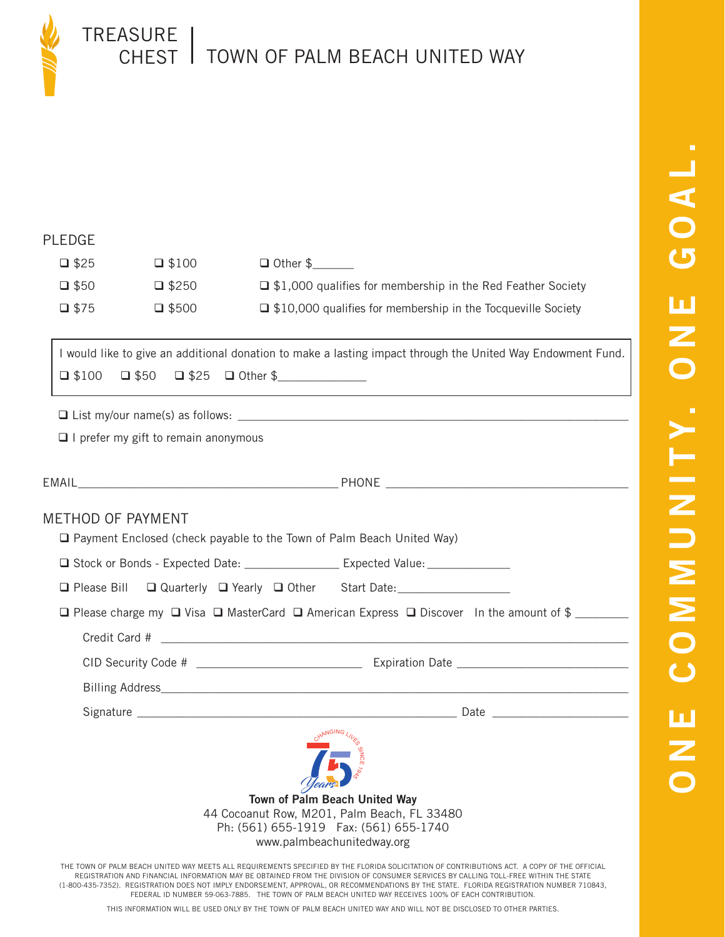

TREASURE CHEST | TOWN OF PALM BEACH UNITED WAY

## PLEDGE

| $\square$ \$25 | $\Box$ \$100    | $\Box$ Other \$                                                     |
|----------------|-----------------|---------------------------------------------------------------------|
| $\Box$ \$50    | $\square$ \$250 | $\Box$ \$1,000 qualifies for membership in the Red Feather Society  |
| $\square$ \$75 | $\Box$ \$500    | $\Box$ \$10,000 qualifies for membership in the Tocqueville Society |

I would like to give an additional donation to make a lasting impact through the United Way Endowment Fund. \$100 \$50 \$25 Other \$\_\_\_\_\_\_\_\_\_\_\_\_\_\_\_

 $\Box$  List my/our name(s) as follows:

 $\Box$  I prefer my gift to remain anonymous

| <b>METHOD OF PAYMENT</b><br>□ Payment Enclosed (check payable to the Town of Palm Beach United Way)               |  |  |  |
|-------------------------------------------------------------------------------------------------------------------|--|--|--|
| □ Stock or Bonds - Expected Date: ______________________ Expected Value: ______________                           |  |  |  |
| □ Please Bill □ Quarterly □ Yearly □ Other Start Date: _________________________                                  |  |  |  |
| $\Box$ Please charge my $\Box$ Visa $\Box$ MasterCard $\Box$ American Express $\Box$ Discover In the amount of \$ |  |  |  |
|                                                                                                                   |  |  |  |
|                                                                                                                   |  |  |  |
|                                                                                                                   |  |  |  |
|                                                                                                                   |  |  |  |
| Town of Palm Beach United Way<br>44 Cocoanut Row. M201. Palm Beach. FL 33480                                      |  |  |  |

44 Cocoanut Row, M201, Palm Beach, FL 33480 Ph: (561) 655-1919 Fax: (561) 655-1740 www.palmbeachunitedway.org

THE TOWN OF PALM BEACH UNITED WAY MEETS ALL REQUIREMENTS SPECIFIED BY THE FLORIDA SOLICITATION OF CONTRIBUTIONS ACT. A COPY OF THE OFFICIAL REGISTRATION AND FINANCIAL INFORMATION MAY BE OBTAINED FROM THE DIVISION OF CONSUMER SERVICES BY CALLING TOLL-FREE WITHIN THE STATE (1-800-435-7352). REGISTRATION DOES NOT IMPLY ENDORSEMENT, APPROVAL, OR RECOMMENDATIONS BY THE STATE. FLORIDA REGISTRATION NUMBER 710843, FEDERAL ID NUMBER 59-063-7885. THE TOWN OF PALM BEACH UNITED WAY RECEIVES 100% OF EACH CONTRIBUTION.